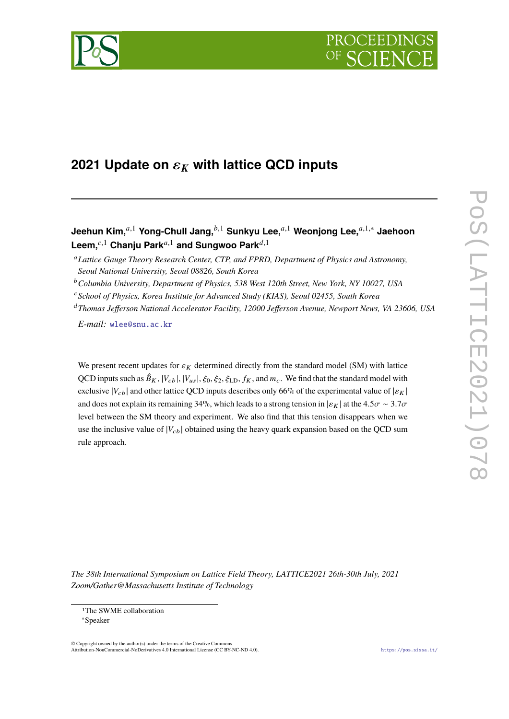

# **2021 Update on**  $\varepsilon_K$  **with lattice QCD inputs**

**Jeehun Kim,**<sup>*a*,1</sup> **Yong-Chull Jang**,<sup>*b*,1</sup> **Sunkyu Lee**,<sup>*a*,1</sup> **Weonjong Lee**,<sup>*a*,1,∗</sup> Jaehoon Leem,<sup>c,1</sup> Chanju Park<sup>a,1</sup> and Sungwoo Park<sup>d,1</sup>

- *School of Physics, Korea Institute for Advanced Study (KIAS), Seoul 02455, South Korea*
- *Thomas Jefferson National Accelerator Facility, 12000 Jefferson Avenue, Newport News, VA 23606, USA*

*E-mail:* [wlee@snu.ac.kr](mailto:wlee@snu.ac.kr)

We present recent updates for  $\varepsilon_K$  determined directly from the standard model (SM) with lattice QCD inputs such as  $\hat{B}_K$ ,  $|V_{cb}|$ ,  $|V_{us}|$ ,  $\xi_0$ ,  $\xi_2$ ,  $\xi_{LD}$ ,  $f_K$ , and  $m_c$ . We find that the standard model with exclusive  $|V_{cb}|$  and other lattice QCD inputs describes only 66% of the experimental value of  $|\varepsilon_K|$ and does not explain its remaining 34%, which leads to a strong tension in  $|\varepsilon_K|$  at the 4.5 $\sigma \sim 3.7\sigma$ level between the SM theory and experiment. We also find that this tension disappears when we use the inclusive value of  $|V_{cb}|$  obtained using the heavy quark expansion based on the QCD sum rule approach.

*The 38th International Symposium on Lattice Field Theory, LATTICE2021 26th-30th July, 2021 Zoom/Gather@Massachusetts Institute of Technology*

© Copyright owned by the author(s) under the terms of the Creative Commons Attribution-NonCommercial-NoDerivatives 4.0 International License (CC BY-NC-ND 4.0). <https://pos.sissa.it/>

*Lattice Gauge Theory Research Center, CTP, and FPRD, Department of Physics and Astronomy, Seoul National University, Seoul 08826, South Korea*

*Columbia University, Department of Physics, 538 West 120th Street, New York, NY 10027, USA*

<sup>1</sup>The SWME collaboration

<sup>∗</sup>Speaker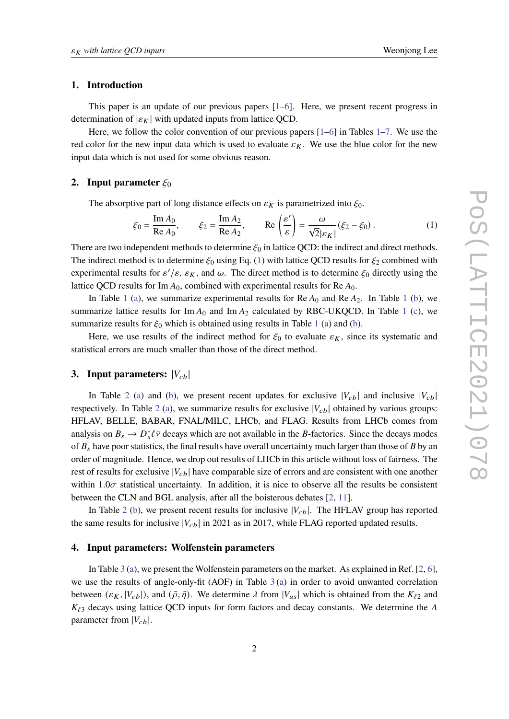### **1. Introduction**

This paper is an update of our previous papers [\[1](#page-7-0)[–6\]](#page-7-1). Here, we present recent progress in determination of  $|\varepsilon_K|$  with updated inputs from lattice QCD.

Here, we follow the color convention of our previous papers  $[1-6]$  $[1-6]$  in Tables [1](#page-2-0)[–7.](#page-6-0) We use the red color for the new input data which is used to evaluate  $\varepsilon_K$ . We use the blue color for the new input data which is not used for some obvious reason.

## **2.** Input parameter  $\xi_0$

The absorptive part of long distance effects on  $\varepsilon_K$  is parametrized into  $\xi_0$ .

<span id="page-1-0"></span>
$$
\xi_0 = \frac{\operatorname{Im} A_0}{\operatorname{Re} A_0}, \qquad \xi_2 = \frac{\operatorname{Im} A_2}{\operatorname{Re} A_2}, \qquad \operatorname{Re} \left( \frac{\varepsilon'}{\varepsilon} \right) = \frac{\omega}{\sqrt{2} |\varepsilon_K|} (\xi_2 - \xi_0).
$$
 (1)

There are two independent methods to determine  $\xi_0$  in lattice QCD: the indirect and direct methods. The indirect method is to determine  $\xi_0$  using Eq. [\(1\)](#page-1-0) with lattice QCD results for  $\xi_2$  combined with experimental results for  $\varepsilon'/\varepsilon$ ,  $\varepsilon_K$ , and  $\omega$ . The direct method is to determine  $\xi_0$  directly using the lattice QCD results for Im  $A_0$ , combined with experimental results for Re  $A_0$ .

In Table [1](#page-2-0) [\(a\)](#page-2-0), we summarize experimental results for  $Re A_0$  and  $Re A_2$ . In Table 1 [\(b\)](#page-2-0), we summarize lattice results for Im  $A_0$  and Im  $A_2$  calculated by RBC-UKQCD. In Table [1](#page-2-0) [\(c\)](#page-2-0), we summarize results for  $\xi_0$  which is obtained using results in Table [1](#page-2-0) [\(a\)](#page-2-0) and [\(b\)](#page-2-0).

Here, we use results of the indirect method for  $\xi_0$  to evaluate  $\varepsilon_K$ , since its systematic and statistical errors are much smaller than those of the direct method.

## **3.** Input parameters:  $|V_{cb}|$

In Table [2](#page-3-0) [\(a\)](#page-3-0) and [\(b\)](#page-3-0), we present recent updates for exclusive  $|V_{cb}|$  and inclusive  $|V_{cb}|$ respectively. In Table [2](#page-3-0) [\(a\)](#page-3-0), we summarize results for exclusive  $|V_{cb}|$  obtained by various groups: HFLAV, BELLE, BABAR, FNAL/MILC, LHCb, and FLAG. Results from LHCb comes from analysis on  $B_s \to D_s^* \ell \bar{\nu}$  decays which are not available in the *B*-factories. Since the decays modes of  $B<sub>s</sub>$  have poor statistics, the final results have overall uncertainty much larger than those of B by an order of magnitude. Hence, we drop out results of LHCb in this article without loss of fairness. The rest of results for exclusive  $|V_{cb}|$  have comparable size of errors and are consistent with one another within 1.0 $\sigma$  statistical uncertainty. In addition, it is nice to observe all the results be consistent between the CLN and BGL analysis, after all the boisterous debates [\[2,](#page-7-2) [11\]](#page-7-3).

In Table [2](#page-3-0) [\(b\)](#page-3-0), we present recent results for inclusive  $|V_{cb}|$ . The HFLAV group has reported the same results for inclusive  $|V_{cb}|$  in 2021 as in 2017, while FLAG reported updated results.

#### **4. Input parameters: Wolfenstein parameters**

In Table [3](#page-3-1) [\(a\)](#page-3-1), we present the Wolfenstein parameters on the market. As explained in Ref. [\[2,](#page-7-2) [6\]](#page-7-1), we use the results of angle-only-fit (AOF) in Table [3](#page-3-1) [\(a\)](#page-3-1) in order to avoid unwanted correlation between  $(\varepsilon_K, |V_{cb}|)$ , and  $(\bar{\rho}, \bar{\eta})$ . We determine  $\lambda$  from  $|V_{us}|$  which is obtained from the  $K_{\ell 2}$  and  $K_{\ell 3}$  decays using lattice QCD inputs for form factors and decay constants. We determine the A parameter from  $|V_{cb}|$ .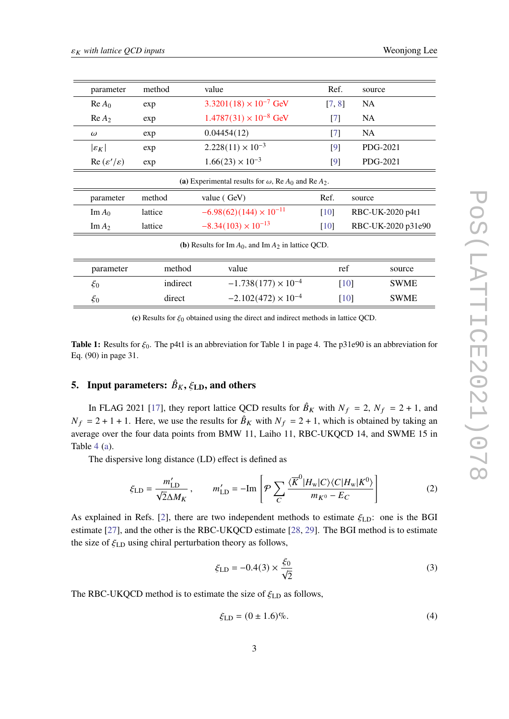<span id="page-2-0"></span>

| parameter                                                       | method                                                  | value                            | Ref.               | source             |  |  |
|-----------------------------------------------------------------|---------------------------------------------------------|----------------------------------|--------------------|--------------------|--|--|
| $Re A_0$                                                        | exp                                                     | $3.3201(18) \times 10^{-7}$ GeV  | [7, 8]             | <b>NA</b>          |  |  |
| Re A <sub>2</sub>                                               | exp                                                     | $1.4787(31) \times 10^{-8}$ GeV  | $\lceil 7 \rceil$  | NA                 |  |  |
| $\omega$                                                        | exp                                                     | 0.04454(12)                      | $\lceil 7 \rceil$  | NA                 |  |  |
| $ \varepsilon_K $                                               | exp                                                     | $2.228(11) \times 10^{-3}$       | [9]                | PDG-2021           |  |  |
| $\text{Re}(\varepsilon'/\varepsilon)$                           | exp                                                     | $1.66(23) \times 10^{-3}$        | [9]                | PDG-2021           |  |  |
| (a) Experimental results for $\omega$ , Re $A_0$ and Re $A_2$ . |                                                         |                                  |                    |                    |  |  |
| parameter                                                       | method                                                  | value (GeV)                      | Ref.               | source             |  |  |
| $\text{Im}\,A_0$                                                | lattice                                                 | $-6.98(62)(144) \times 10^{-11}$ | [10]               | RBC-UK-2020 p4t1   |  |  |
| $\text{Im}\,A_2$                                                | lattice                                                 | $-8.34(103) \times 10^{-13}$     |                    | RBC-UK-2020 p31e90 |  |  |
|                                                                 | (b) Results for Im $A_0$ , and Im $A_2$ in lattice QCD. |                                  |                    |                    |  |  |
| parameter                                                       | method                                                  | value                            | ref                | source             |  |  |
| $\xi_0$                                                         | indirect                                                | $-1.738(177) \times 10^{-4}$     | $\lceil 10 \rceil$ | SWME               |  |  |
| $\xi_0$                                                         | direct                                                  | $-2.102(472) \times 10^{-4}$     | $\lceil 10 \rceil$ | SWME               |  |  |

(c) Results for  $\xi_0$  obtained using the direct and indirect methods in lattice QCD.

**Table 1:** Results for  $\xi_0$ . The p4t1 is an abbreviation for Table 1 in page 4. The p31e90 is an abbreviation for Eq. (90) in page 31.

# **5.** Input parameters:  $\hat{B}_K$ ,  $\xi_{\text{LD}}$ , and others

In FLAG 2021 [\[17\]](#page-8-0), they report lattice QCD results for  $\hat{B}_K$  with  $N_f = 2$ ,  $N_f = 2 + 1$ , and  $N_f = 2 + 1 + 1$ . Here, we use the results for  $\hat{B}_K$  with  $N_f = 2 + 1$ , which is obtained by taking an average over the four data points from BMW 11, Laiho 11, RBC-UKQCD 14, and SWME 15 in Table  $4$  [\(a\)](#page-4-0).

The dispersive long distance (LD) effect is defined as

$$
\xi_{\rm LD} = \frac{m'_{\rm LD}}{\sqrt{2}\Delta M_K}, \qquad m'_{\rm LD} = -\text{Im}\left[\mathcal{P}\sum_C \frac{\langle \overline{K}^0 | H_{\rm w} | C \rangle \langle C | H_{\rm w} | K^0 \rangle}{m_{K^0} - E_C}\right]
$$
(2)

As explained in Refs. [\[2\]](#page-7-2), there are two independent methods to estimate  $\xi_{LD}$ : one is the BGI estimate [\[27\]](#page-8-1), and the other is the RBC-UKQCD estimate [\[28,](#page-8-2) [29\]](#page-8-3). The BGI method is to estimate the size of  $\xi$ <sub>LD</sub> using chiral perturbation theory as follows,

$$
\xi_{\rm LD} = -0.4(3) \times \frac{\xi_0}{\sqrt{2}}
$$
 (3)

The RBC-UKQCD method is to estimate the size of  $\xi_{\text{LD}}$  as follows,

$$
\xi_{\rm LD} = (0 \pm 1.6)\%.\tag{4}
$$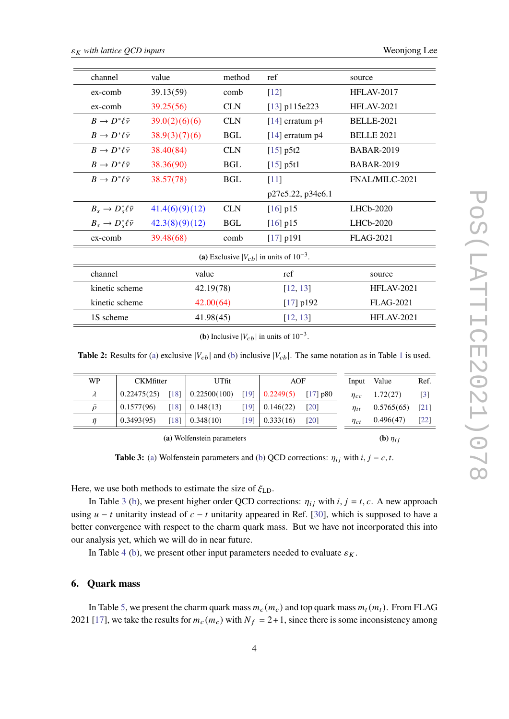<span id="page-3-0"></span>

| channel                                          | value          | method     | ref               | source            |  |  |
|--------------------------------------------------|----------------|------------|-------------------|-------------------|--|--|
| ex-comb                                          | 39.13(59)      | comb       | $[12]$            | <b>HFLAV-2017</b> |  |  |
| $ex$ -comb                                       | 39.25(56)      | <b>CLN</b> | $[13]$ p115e223   | <b>HFLAV-2021</b> |  |  |
| $B \to D^* \ell \bar{\nu}$                       | 39.0(2)(6)(6)  | <b>CLN</b> | $[14]$ erratum p4 | <b>BELLE-2021</b> |  |  |
| $B \to D^* \ell \bar{\nu}$                       | 38.9(3)(7)(6)  | <b>BGL</b> | $[14]$ erratum p4 | <b>BELLE 2021</b> |  |  |
| $B \to D^* \ell \bar{\nu}$                       | 38.40(84)      | <b>CLN</b> | $[15]$ p5t2       | <b>BABAR-2019</b> |  |  |
| $B \to D^* \ell \bar{\nu}$                       | 38.36(90)      | <b>BGL</b> | $[15]$ p5t1       | <b>BABAR-2019</b> |  |  |
| $B \to D^* \ell \bar{\nu}$                       | 38.57(78)      | <b>BGL</b> | [11]              | FNAL/MILC-2021    |  |  |
|                                                  |                |            | p27e5.22, p34e6.1 |                   |  |  |
| $B_s \to D_s^* \ell \bar{\nu}$                   | 41.4(6)(9)(12) | <b>CLN</b> | $[16]$ p15        | $LHCb-2020$       |  |  |
| $B_s \to D_s^* \ell \bar{\nu}$                   | 42.3(8)(9)(12) | <b>BGL</b> | $[16]$ p $15$     | $LHCb-2020$       |  |  |
| ex-comb                                          | 39.48(68)      | comb       | $[17]$ p191       | <b>FLAG-2021</b>  |  |  |
| (a) Exclusive $ V_{cb} $ in units of $10^{-3}$ . |                |            |                   |                   |  |  |
| channel                                          | value          |            | ref               | source            |  |  |
| kinetic scheme                                   | 42.19(78)      |            | [12, 13]          | <b>HFLAV-2021</b> |  |  |
| kinetic scheme                                   | 42.00(64)      |            | $[17]$ p192       | <b>FLAG-2021</b>  |  |  |
| 1S scheme                                        | 41.98(45)      |            | [12, 13]          | <b>HFLAV-2021</b> |  |  |

**(b)** Inclusive  $|V_{cb}|$  in units of 10<sup>-3</sup>.

**Table 2:** Results for [\(a\)](#page-3-0) exclusive  $|V_{cb}|$  and [\(b\)](#page-3-0) inclusive  $|V_{cb}|$ . The same notation as in Table [1](#page-2-0) is used.

<span id="page-3-1"></span>

| WP                         | <b>CKMfitter</b> |                    | UTfit        |      | AOF       |                    | Input       | Value           | Ref.               |
|----------------------------|------------------|--------------------|--------------|------|-----------|--------------------|-------------|-----------------|--------------------|
| $\lambda$                  | 0.22475(25)      | $\lceil 18 \rceil$ | 0.22500(100) | [19] | 0.2249(5) | $[17]$ p80         | $\eta_{cc}$ | 1.72(27)        | $\lceil 3 \rceil$  |
| ō                          | 0.1577(96)       | $\lceil 18 \rceil$ | 0.148(13)    | [19] | 0.146(22) | [20]               | $\eta_{tt}$ | 0.5765(65)      | $\lceil 21 \rceil$ |
| $\bar{\eta}$               | 0.3493(95)       | [18]               | 0.348(10)    | [19] | 0.333(16) | $\lceil 20 \rceil$ | $\eta_{ct}$ | 0.496(47)       | [22]               |
| (a) Wolfenstein parameters |                  |                    |              |      |           |                    |             | (b) $\eta_{ii}$ |                    |

**Table 3:** [\(a\)](#page-3-1) Wolfenstein parameters and [\(b\)](#page-3-1) QCD corrections:  $\eta_{ij}$  with  $i, j = c, t$ .

Here, we use both methods to estimate the size of  $\xi_{\text{LD}}$ .

In Table [3](#page-3-1) [\(b\)](#page-3-1), we present higher order QCD corrections:  $\eta_{ij}$  with  $i, j = t, c$ . A new approach using  $u - t$  unitarity instead of  $c - t$  unitarity appeared in Ref. [\[30\]](#page-8-10), which is supposed to have a better convergence with respect to the charm quark mass. But we have not incorporated this into our analysis yet, which we will do in near future.

In Table [4](#page-4-0) [\(b\)](#page-4-0), we present other input parameters needed to evaluate  $\varepsilon_K$ .

# **6. Quark mass**

In Table [5,](#page-4-1) we present the charm quark mass  $m_c(m_c)$  and top quark mass  $m_t(m_t)$ . From FLAG 2021 [\[17\]](#page-8-0), we take the results for  $m_c(m_c)$  with  $N_f = 2+1$ , since there is some inconsistency among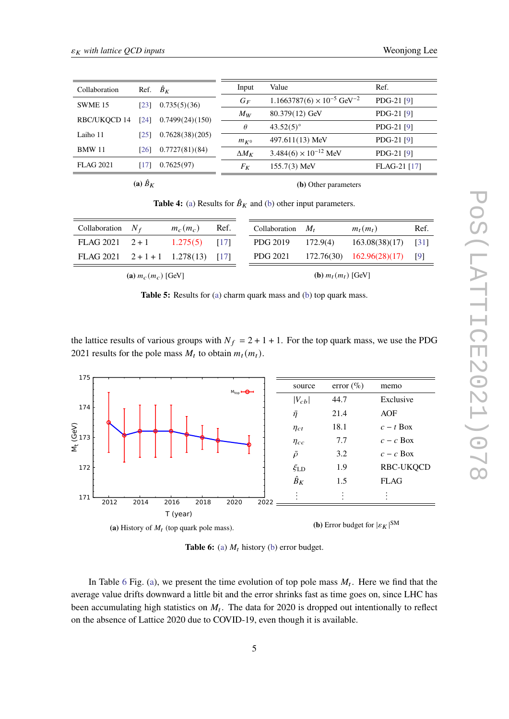<span id="page-4-0"></span>

| Collaboration       | Ref. $\hat{B}_K$   |                 | Input        | Value                                           | Ref.         |
|---------------------|--------------------|-----------------|--------------|-------------------------------------------------|--------------|
| SWME <sub>15</sub>  | [23]               | 0.735(5)(36)    | $G_F$        | $1.1663787(6) \times 10^{-5}$ GeV <sup>-2</sup> | PDG-21 [9]   |
| <b>RBC/UKQCD 14</b> | $\lceil 24 \rceil$ | 0.7499(24)(150) | $M_W$        | $80.379(12)$ GeV                                | PDG-21 [9]   |
|                     |                    |                 | $\theta$     | $43.52(5)$ °                                    | PDG-21 [9]   |
| Laiho 11            | [25]               | 0.7628(38)(205) | $m_{K^0}$    | $497.611(13)$ MeV                               | PDG-21 [9]   |
| <b>BMW 11</b>       | [26]               | 0.7727(81)(84)  | $\Delta M_K$ | $3.484(6) \times 10^{-12}$ MeV                  | PDG-21 [9]   |
| <b>FLAG 2021</b>    | [17]               | 0.7625(97)      | $F_K$        | $155.7(3)$ MeV                                  | FLAG-21 [17] |
|                     |                    |                 |              |                                                 |              |

 $(a)$  $\hat{B}_K$ 

**(b)** Other parameters

**Table 4:** [\(a\)](#page-4-0) Results for  $\hat{B}_K$  and [\(b\)](#page-4-0) other input parameters.

<span id="page-4-1"></span>

| Collaboration $N_f$              |                         | $m_c(m_c)$ | Ref. | Collaboration $M_t$ |                               | $m_t(m_t)$                    |  |
|----------------------------------|-------------------------|------------|------|---------------------|-------------------------------|-------------------------------|--|
| FLAG $2021 \t 2+1$               |                         | 1.275(5)   | [17] | PDG 2019            | 172.9(4)                      | 163.08(38)(17)                |  |
| FLAG 2021 $2+1+1$ 1.278(13) [17] |                         |            |      | PDG 2021            |                               | $172.76(30)$ $162.96(28)(17)$ |  |
|                                  | (a) $m_c$ $(m_c)$ [GeV] |            |      |                     | ( <b>b</b> ) $m_t(m_t)$ [GeV] |                               |  |

**Table 5:** Results for [\(a\)](#page-4-1) charm quark mass and [\(b\)](#page-4-1) top quark mass.

the lattice results of various groups with  $N_f = 2 + 1 + 1$ . For the top quark mass, we use the PDG 2021 results for the pole mass  $M_t$  to obtain  $m_t(m_t)$ .

<span id="page-4-2"></span>

**Table 6:** [\(a\)](#page-4-2)  $M_t$  history [\(b\)](#page-4-2) error budget.

In Table [6](#page-4-2) Fig. [\(a\)](#page-4-2), we present the time evolution of top pole mass  $M_t$ . Here we find that the average value drifts downward a little bit and the error shrinks fast as time goes on, since LHC has been accumulating high statistics on  $M_t$ . The data for 2020 is dropped out intentionally to reflect on the absence of Lattice 2020 due to COVID-19, even though it is available.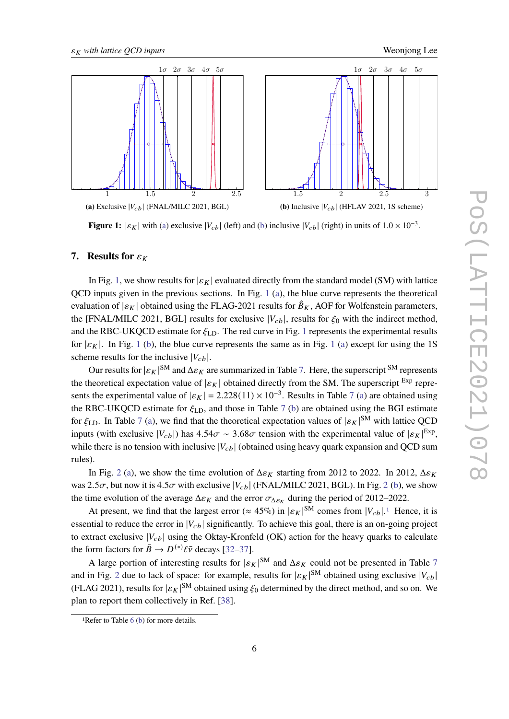<span id="page-5-0"></span>

**Figure 1:**  $|\varepsilon_K|$  with [\(a\)](#page-5-0) exclusive  $|V_{cb}|$  (left) and [\(b\)](#page-5-0) inclusive  $|V_{cb}|$  (right) in units of  $1.0 \times 10^{-3}$ .

# **7.** Results for  $\varepsilon_K$

In Fig. [1,](#page-5-0) we show results for  $|\varepsilon_K|$  evaluated directly from the standard model (SM) with lattice QCD inputs given in the previous sections. In Fig. [1](#page-5-0) [\(a\)](#page-5-0), the blue curve represents the theoretical evaluation of  $|\varepsilon_K|$  obtained using the FLAG-2021 results for  $\hat{B}_K$ , AOF for Wolfenstein parameters, the [FNAL/MILC 2021, BGL] results for exclusive  $|V_{cb}|$ , results for  $\xi_0$  with the indirect method, and the RBC-UKQCD estimate for  $\xi_{LD}$ . The red curve in Fig. [1](#page-5-0) represents the experimental results for  $|\varepsilon_K|$ . In Fig. [1](#page-5-0) [\(b\)](#page-5-0), the blue curve represents the same as in Fig. 1 [\(a\)](#page-5-0) except for using the 1S scheme results for the inclusive  $|V_{cb}|$ .

Our results for  $|\varepsilon_K|^{SM}$  and  $\Delta \varepsilon_K$  are summarized in Table [7.](#page-6-0) Here, the superscript <sup>SM</sup> represents the theoretical expectation value of  $|\varepsilon_K|$  obtained directly from the SM. The superscript  $Exp$  represents the experimental value of  $|\varepsilon_K| = 2.228(11) \times 10^{-3}$ . Results in Table [7](#page-6-0) [\(a\)](#page-6-0) are obtained using the RBC-UKQCD estimate for  $\xi_{\text{LD}}$ , and those in Table [7](#page-6-0) [\(b\)](#page-6-0) are obtained using the BGI estimate for  $\xi_{\text{LD}}$ . In Table [7](#page-6-0) [\(a\)](#page-6-0), we find that the theoretical expectation values of  $|\varepsilon_K|^{SM}$  with lattice QCD inputs (with exclusive  $|V_{cb}|$ ) has  $4.54\sigma \sim 3.68\sigma$  tension with the experimental value of  $|\varepsilon_K|^{Exp}$ , while there is no tension with inclusive  $|V_{ch}|$  (obtained using heavy quark expansion and QCD sum rules).

In Fig. [2](#page-6-1) [\(a\)](#page-6-1), we show the time evolution of  $\Delta \varepsilon_K$  starting from 2012 to 2022. In 2012,  $\Delta \varepsilon_K$ was [2](#page-6-1).5 $\sigma$ , but now it is 4.5 $\sigma$  with exclusive  $|V_{cb}|$  (FNAL/MILC 2021, BGL). In Fig. 2 [\(b\)](#page-6-1), we show the time evolution of the average  $\Delta \varepsilon_K$  and the error  $\sigma_{\Delta \varepsilon_K}$  during the period of 2012–2022.

At present, we find that the largest error ( $\approx 45\%$ ) in  $|\varepsilon_K|^{SM}$  comes from  $|V_{cb}|$ .<sup>[1](#page-5-1)</sup> Hence, it is essential to reduce the error in  $|V_{cb}|$  significantly. To achieve this goal, there is an on-going project to extract exclusive  $|V_{cb}|$  using the Oktay-Kronfeld (OK) action for the heavy quarks to calculate the form factors for  $\bar{B} \to D^{(*)} \ell \bar{\nu}$  decays [\[32–](#page-9-0)[37\]](#page-9-1).

A large portion of interesting results for  $|\varepsilon_K|^{SM}$  and  $\Delta \varepsilon_K$  could not be presented in Table [7](#page-6-0) and in Fig. [2](#page-6-1) due to lack of space: for example, results for  $|\varepsilon_K|^{SM}$  obtained using exclusive  $|V_{cb}|$ (FLAG 2021), results for  $|\varepsilon_K|^{SM}$  obtained using  $\xi_0$  determined by the direct method, and so on. We plan to report them collectively in Ref. [\[38\]](#page-9-2).

<span id="page-5-1"></span><sup>1</sup>Refer to Table [6](#page-4-2) [\(b\)](#page-4-2) for more details.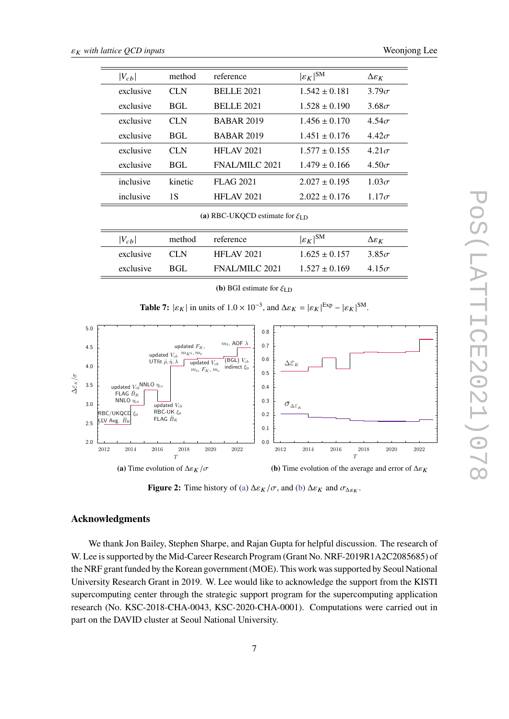<span id="page-6-0"></span>

| $ V_{cb} $                                     | method     | reference         | $ \varepsilon_K ^{\rm SM}$ | $\Delta \varepsilon_K$ |  |  |
|------------------------------------------------|------------|-------------------|----------------------------|------------------------|--|--|
| exclusive                                      | CLN        | <b>BELLE 2021</b> | $1.542 \pm 0.181$          | $3.79\sigma$           |  |  |
| exclusive                                      | BGL        | <b>BELLE 2021</b> | $1.528 \pm 0.190$          | $3.68\sigma$           |  |  |
| exclusive                                      | CLN        | <b>BABAR 2019</b> | $1.456 + 0.170$            | $4.54\sigma$           |  |  |
| exclusive                                      | <b>BGL</b> | <b>BABAR 2019</b> | $1.451 + 0.176$            | $4.42\sigma$           |  |  |
| exclusive                                      | CLN        | <b>HFLAV 2021</b> | $1.577 + 0.155$            | $4.21\sigma$           |  |  |
| exclusive                                      | <b>BGL</b> | FNAL/MILC 2021    | $1.479 \pm 0.166$          | $4.50\sigma$           |  |  |
| inclusive                                      | kinetic    | <b>FLAG 2021</b>  | $2.027 \pm 0.195$          | $1.03\sigma$           |  |  |
| inclusive                                      | 1S         | <b>HFLAV 2021</b> | $2.022 \pm 0.176$          | $1.17\sigma$           |  |  |
| (a) RBC-UKOCD estimate for $\zeta_{\text{LD}}$ |            |                   |                            |                        |  |  |

| $ V_{cb} $ | method | reference             | $ \varepsilon_K ^{SM}$ | $\Delta \varepsilon_K$ |
|------------|--------|-----------------------|------------------------|------------------------|
| exclusive  | CLN    | <b>HFLAV 2021</b>     | $1.625 \pm 0.157$      | $3.85\sigma$           |
| exclusive  | -RGL   | <b>FNAL/MILC 2021</b> | $1.527 + 0.169$        | 4.15 $\sigma$          |

**(b)** BGI estimate for  $\xi_{\text{LD}}$ 

**Table 7:**  $|\varepsilon_K|$  in units of  $1.0 \times 10^{-3}$ , and  $\Delta \varepsilon_K = |\varepsilon_K|^{Exp} - |\varepsilon_K|^{SM}$ .

<span id="page-6-1"></span>

**Figure 2:** Time history of [\(a\)](#page-6-1)  $\Delta \varepsilon_K / \sigma$ , and [\(b\)](#page-6-1)  $\Delta \varepsilon_K$  and  $\sigma_{\Delta \varepsilon_K}$ .

# **Acknowledgments**

We thank Jon Bailey, Stephen Sharpe, and Rajan Gupta for helpful discussion. The research of W. Lee is supported by the Mid-Career Research Program (Grant No. NRF-2019R1A2C2085685) of the NRF grant funded by the Korean government (MOE). This work was supported by Seoul National University Research Grant in 2019. W. Lee would like to acknowledge the support from the KISTI supercomputing center through the strategic support program for the supercomputing application research (No. KSC-2018-CHA-0043, KSC-2020-CHA-0001). Computations were carried out in part on the DAVID cluster at Seoul National University.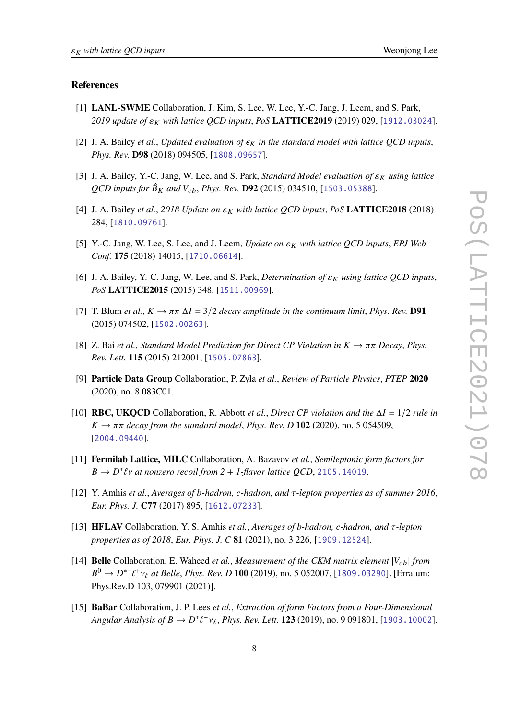#### **References**

- <span id="page-7-0"></span>[1] **LANL-SWME** Collaboration, J. Kim, S. Lee, W. Lee, Y.-C. Jang, J. Leem, and S. Park, *2019 update of with lattice QCD inputs*, *PoS* **LATTICE2019** (2019) 029, [[1912.03024](http://xxx.lanl.gov/abs/1912.03024)].
- <span id="page-7-2"></span>[2] J. A. Bailey *et al., Updated evaluation of*  $\epsilon_K$  *in the standard model with lattice QCD inputs, Phys. Rev.* **D98** (2018) 094505, [[1808.09657](http://xxx.lanl.gov/abs/1808.09657)].
- <span id="page-7-12"></span>[3] J. A. Bailey, Y.-C. Jang, W. Lee, and S. Park, *Standard Model evaluation of*  $\varepsilon_K$  using lattice *QCD inputs for*  $\hat{B}_K$  *and*  $V_{cb}$ *, Phys. Rev.* **D92** (2015) 034510, [[1503.05388](http://xxx.lanl.gov/abs/1503.05388)].
- [4] J. A. Bailey et al., 2018 Update on  $\varepsilon_K$  with lattice QCD inputs, PoS LATTICE2018 (2018) 284, [[1810.09761](http://xxx.lanl.gov/abs/1810.09761)].
- [5] Y.-C. Jang, W. Lee, S. Lee, and J. Leem, *Update on with lattice QCD inputs*, *EPJ Web Conf.* **175** (2018) 14015, [[1710.06614](http://xxx.lanl.gov/abs/1710.06614)].
- <span id="page-7-1"></span>[6] J. A. Bailey, Y.-C. Jang, W. Lee, and S. Park, *Determination of*  $\varepsilon_K$  using lattice QCD inputs, *PoS* **LATTICE2015** (2015) 348, [[1511.00969](http://xxx.lanl.gov/abs/1511.00969)].
- <span id="page-7-4"></span>[7] T. Blum *et al.*,  $K \to \pi \pi \Delta I = 3/2$  *decay amplitude in the continuum limit, Phys. Rev.* **D91** (2015) 074502, [[1502.00263](http://xxx.lanl.gov/abs/1502.00263)].
- <span id="page-7-5"></span>[8] Z. Bai *et al.*, *Standard Model Prediction for Direct CP Violation in*  $K \to \pi \pi$  *Decay*, *Phys. Rev. Lett.* **115** (2015) 212001, [[1505.07863](http://xxx.lanl.gov/abs/1505.07863)].
- <span id="page-7-6"></span>[9] **Particle Data Group** Collaboration, P. Zyla *et al.*, *Review of Particle Physics*, *PTEP* **2020** (2020), no. 8 083C01.
- <span id="page-7-7"></span>[10] **RBC, UKQCD** Collaboration, R. Abbott *et al., Direct CP violation and the*  $\Delta I = 1/2$  *rule in*  $K \rightarrow \pi \pi$  decay from the standard model, *Phys. Rev. D* 102 (2020), no. 5 054509, [[2004.09440](http://xxx.lanl.gov/abs/2004.09440)].
- <span id="page-7-3"></span>[11] **Fermilab Lattice, MILC** Collaboration, A. Bazavov *et al.*, *Semileptonic form factors for*  $B \to D^* \ell \nu$  at nonzero recoil from  $2 + I$ -flavor lattice QCD, [2105.14019](http://xxx.lanl.gov/abs/2105.14019).
- <span id="page-7-8"></span>[12] Y. Amhis *et al.*, *Averages of -hadron, -hadron, and -lepton properties as of summer 2016*, *Eur. Phys. J.* **C77** (2017) 895, [[1612.07233](http://xxx.lanl.gov/abs/1612.07233)].
- <span id="page-7-9"></span>[13] **HFLAV** Collaboration, Y. S. Amhis *et al.*, *Averages of b-hadron, c-hadron, and -lepton properties as of 2018*, *Eur. Phys. J. C* **81** (2021), no. 3 226, [[1909.12524](http://xxx.lanl.gov/abs/1909.12524)].
- <span id="page-7-10"></span>[14] **Belle** Collaboration, E. Waheed *et al., Measurement of the CKM matrix element*  $|V_{cb}|$  *from B*<sup>0</sup> → *D*<sup>\*-</sup>*t*<sup>+</sup>*v*<sub>*t*</sub> at *Belle*, *Phys. Rev. D* **100** (2019), no. 5 052007, [[1809.03290](http://xxx.lanl.gov/abs/1809.03290)]. [Erratum: Phys.Rev.D 103, 079901 (2021)].
- <span id="page-7-11"></span>[15] **BaBar** Collaboration, J. P. Lees *et al.*, *Extraction of form Factors from a Four-Dimensional*  $Angular\ Analysis\ of\ \overline{B}\to D^*\ell^-\overline{\nu}_\ell,\ Phys.\ Rev.\ Lett.\ 123$  (2019), no. 9 091801, [1903 . 10002].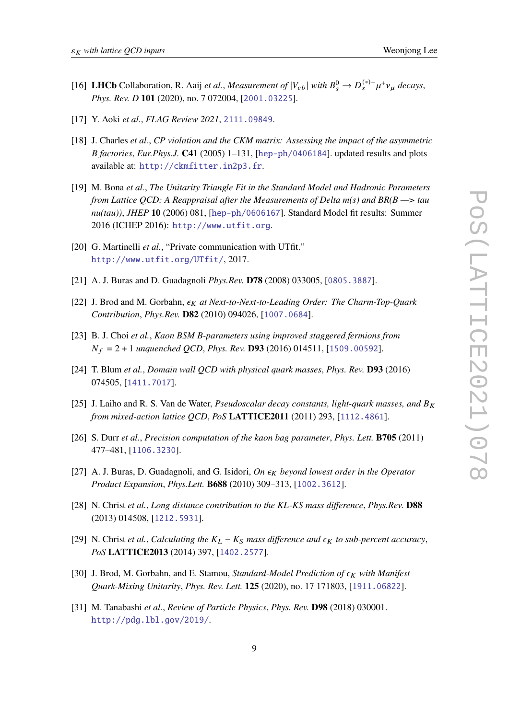- <span id="page-8-4"></span>[16] **LHCb** Collaboration, R. Aaij *et al., Measurement of*  $|V_{cb}|$  *with*  $B_s^0 \to D_s^{(*)-} \mu^+ \nu_\mu$  *decays, Phys. Rev. D* **101** (2020), no. 7 072004, [[2001.03225](http://xxx.lanl.gov/abs/2001.03225)].
- <span id="page-8-0"></span>[17] Y. Aoki *et al.*, *FLAG Review 2021*, [2111.09849](http://xxx.lanl.gov/abs/2111.09849).
- <span id="page-8-5"></span>[18] J. Charles *et al.*, *CP violation and the CKM matrix: Assessing the impact of the asymmetric factories*, *Eur.Phys.J.* **C41** (2005) 1–131, [[hep-ph/0406184](http://xxx.lanl.gov/abs/hep-ph/0406184)]. updated results and plots available at: <http://ckmfitter.in2p3.fr>.
- <span id="page-8-6"></span>[19] M. Bona *et al.*, *The Unitarity Triangle Fit in the Standard Model and Hadronic Parameters from Lattice QCD: A Reappraisal after the Measurements of Delta m(s) and BR(B —> tau nu(tau))*, *JHEP* **10** (2006) 081, [[hep-ph/0606167](http://xxx.lanl.gov/abs/hep-ph/0606167)]. Standard Model fit results: Summer 2016 (ICHEP 2016): <http://www.utfit.org>.
- <span id="page-8-7"></span>[20] G. Martinelli et al., "Private communication with UTfit." <http://www.utfit.org/UTfit/>, 2017.
- <span id="page-8-8"></span>[21] A. J. Buras and D. Guadagnoli *Phys.Rev.* **D78** (2008) 033005, [[0805.3887](http://xxx.lanl.gov/abs/0805.3887)].
- <span id="page-8-9"></span>[22] J. Brod and M. Gorbahn,  $\epsilon_K$  at Next-to-Next-to-Leading Order: The Charm-Top-Quark *Contribution*, *Phys.Rev.* **D82** (2010) 094026, [[1007.0684](http://xxx.lanl.gov/abs/1007.0684)].
- <span id="page-8-11"></span>[23] B. J. Choi *et al.*, *Kaon BSM B-parameters using improved staggered fermions from* = 2 + 1 *unquenched QCD*, *Phys. Rev.* **D93** (2016) 014511, [[1509.00592](http://xxx.lanl.gov/abs/1509.00592)].
- <span id="page-8-12"></span>[24] T. Blum *et al.*, *Domain wall QCD with physical quark masses*, *Phys. Rev.* **D93** (2016) 074505, [[1411.7017](http://xxx.lanl.gov/abs/1411.7017)].
- <span id="page-8-13"></span>[25] J. Laiho and R. S. Van de Water, *Pseudoscalar decay constants, light-quark masses, and*  $B_K$ *from mixed-action lattice QCD*, *PoS* **LATTICE2011** (2011) 293, [[1112.4861](http://xxx.lanl.gov/abs/1112.4861)].
- <span id="page-8-14"></span>[26] S. Durr *et al.*, *Precision computation of the kaon bag parameter*, *Phys. Lett.* **B705** (2011) 477–481, [[1106.3230](http://xxx.lanl.gov/abs/1106.3230)].
- <span id="page-8-1"></span>[27] A. J. Buras, D. Guadagnoli, and G. Isidori, *On*  $\epsilon_K$  beyond lowest order in the Operator *Product Expansion*, *Phys.Lett.* **B688** (2010) 309–313, [[1002.3612](http://xxx.lanl.gov/abs/1002.3612)].
- <span id="page-8-2"></span>[28] N. Christ *et al.*, *Long distance contribution to the KL-KS mass difference*, *Phys.Rev.* **D88** (2013) 014508, [[1212.5931](http://xxx.lanl.gov/abs/1212.5931)].
- <span id="page-8-3"></span>[29] N. Christ *et al.*, *Calculating the*  $K_L - K_S$  *mass difference and*  $\epsilon_K$  *to sub-percent accuracy*, *PoS* **LATTICE2013** (2014) 397, [[1402.2577](http://xxx.lanl.gov/abs/1402.2577)].
- <span id="page-8-10"></span>[30] J. Brod, M. Gorbahn, and E. Stamou, *Standard-Model Prediction of*  $\epsilon_K$  with Manifest *Quark-Mixing Unitarity*, *Phys. Rev. Lett.* **125** (2020), no. 17 171803, [[1911.06822](http://xxx.lanl.gov/abs/1911.06822)].
- <span id="page-8-15"></span>[31] M. Tanabashi *et al.*, *Review of Particle Physics*, *Phys. Rev.* **D98** (2018) 030001. <http://pdg.lbl.gov/2019/>.